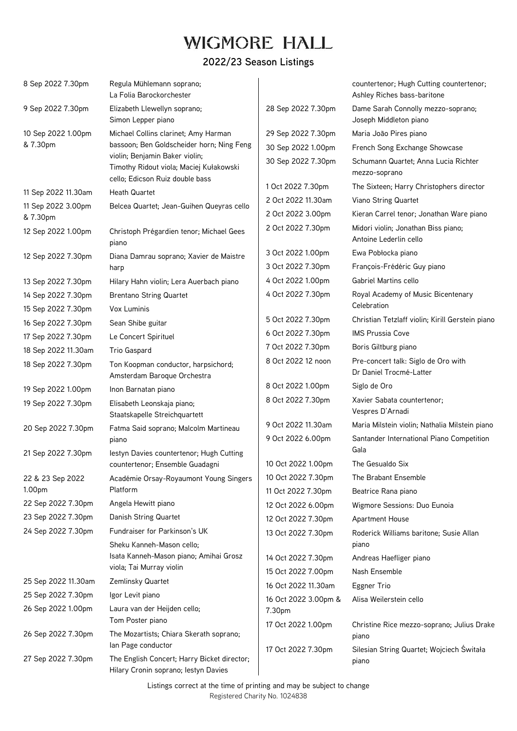# **WIGMORE HALL**

| 8 Sep 2022 7.30pm              | Regula Mühlemann soprano;<br>La Folia Barockorchester                                                        |                              | countertenor; Hugh Cutting countertenor;<br>Ashley Riches bass-baritone |
|--------------------------------|--------------------------------------------------------------------------------------------------------------|------------------------------|-------------------------------------------------------------------------|
| 9 Sep 2022 7.30pm              | Elizabeth Llewellyn soprano;<br>Simon Lepper piano                                                           | 28 Sep 2022 7.30pm           | Dame Sarah Connolly mezzo-soprano;<br>Joseph Middleton piano            |
| 10 Sep 2022 1.00pm<br>& 7.30pm | Michael Collins clarinet; Amy Harman                                                                         | 29 Sep 2022 7.30pm           | Maria João Pires piano                                                  |
|                                | bassoon; Ben Goldscheider horn; Ning Feng                                                                    | 30 Sep 2022 1.00pm           | French Song Exchange Showcase                                           |
|                                | violin; Benjamin Baker violin;<br>Timothy Ridout viola; Maciej Kułakowski<br>cello; Edicson Ruiz double bass | 30 Sep 2022 7.30pm           | Schumann Quartet; Anna Lucia Richter<br>mezzo-soprano                   |
| 11 Sep 2022 11.30am            | <b>Heath Quartet</b>                                                                                         | 1 Oct 2022 7.30pm            | The Sixteen; Harry Christophers director                                |
| 11 Sep 2022 3.00pm             | Belcea Quartet; Jean-Guihen Queyras cello                                                                    | 2 Oct 2022 11.30am           | Viano String Quartet                                                    |
| & 7.30pm                       |                                                                                                              | 2 Oct 2022 3.00pm            | Kieran Carrel tenor; Jonathan Ware piano                                |
| 12 Sep 2022 1.00pm             | Christoph Prégardien tenor; Michael Gees<br>piano                                                            | 2 Oct 2022 7.30pm            | Midori violin; Jonathan Biss piano;<br>Antoine Lederlin cello           |
| 12 Sep 2022 7.30pm             | Diana Damrau soprano; Xavier de Maistre                                                                      | 3 Oct 2022 1.00pm            | Ewa Pobłocka piano                                                      |
|                                | harp                                                                                                         | 3 Oct 2022 7.30pm            | François-Frédéric Guy piano                                             |
| 13 Sep 2022 7.30pm             | Hilary Hahn violin; Lera Auerbach piano                                                                      | 4 Oct 2022 1.00pm            | Gabriel Martins cello                                                   |
| 14 Sep 2022 7.30pm             | <b>Brentano String Quartet</b>                                                                               | 4 Oct 2022 7.30pm            | Royal Academy of Music Bicentenary                                      |
| 15 Sep 2022 7.30pm             | Vox Luminis                                                                                                  |                              | Celebration                                                             |
| 16 Sep 2022 7.30pm             | Sean Shibe guitar                                                                                            | 5 Oct 2022 7.30pm            | Christian Tetzlaff violin; Kirill Gerstein piano                        |
| 17 Sep 2022 7.30pm             | Le Concert Spirituel                                                                                         | 6 Oct 2022 7.30pm            | <b>IMS Prussia Cove</b>                                                 |
| 18 Sep 2022 11.30am            | Trio Gaspard                                                                                                 | 7 Oct 2022 7.30pm            | Boris Giltburg piano                                                    |
| 18 Sep 2022 7.30pm             | Ton Koopman conductor, harpsichord;<br>Amsterdam Baroque Orchestra                                           | 8 Oct 2022 12 noon           | Pre-concert talk: Siglo de Oro with<br>Dr Daniel Trocmé-Latter          |
| 19 Sep 2022 1.00pm             | Inon Barnatan piano                                                                                          | 8 Oct 2022 1.00pm            | Siglo de Oro                                                            |
| 19 Sep 2022 7.30pm             | Elisabeth Leonskaja piano;<br>Staatskapelle Streichquartett                                                  | 8 Oct 2022 7.30pm            | Xavier Sabata countertenor;<br>Vespres D'Arnadi                         |
| 20 Sep 2022 7.30pm             | Fatma Said soprano; Malcolm Martineau                                                                        | 9 Oct 2022 11.30am           | Maria Milstein violin; Nathalia Milstein piano                          |
| 21 Sep 2022 7.30pm             | piano<br>lestyn Davies countertenor; Hugh Cutting                                                            | 9 Oct 2022 6.00pm            | Santander International Piano Competition<br>Gala                       |
|                                | countertenor; Ensemble Guadagni                                                                              | 10 Oct 2022 1.00pm           | The Gesualdo Six                                                        |
| 22 & 23 Sep 2022               | Académie Orsay-Royaumont Young Singers                                                                       | 10 Oct 2022 7.30pm           | The Brabant Ensemble                                                    |
| 1.00pm                         | Platform                                                                                                     | 11 Oct 2022 7.30pm           | Beatrice Rana piano                                                     |
| 22 Sep 2022 7.30pm             | Angela Hewitt piano                                                                                          | 12 Oct 2022 6.00pm           | Wigmore Sessions: Duo Eunoia                                            |
| 23 Sep 2022 7.30pm             | Danish String Quartet                                                                                        | 12 Oct 2022 7.30pm           | Apartment House                                                         |
| 24 Sep 2022 7.30pm             | Fundraiser for Parkinson's UK                                                                                | 13 Oct 2022 7.30pm           | Roderick Williams baritone; Susie Allan                                 |
|                                | Sheku Kanneh-Mason cello;                                                                                    |                              | piano                                                                   |
|                                | Isata Kanneh-Mason piano; Amihai Grosz                                                                       | 14 Oct 2022 7.30pm           | Andreas Haefliger piano                                                 |
|                                | viola; Tai Murray violin                                                                                     | 15 Oct 2022 7.00pm           | Nash Ensemble                                                           |
| 25 Sep 2022 11.30am            | Zemlinsky Quartet                                                                                            | 16 Oct 2022 11.30am          | Eggner Trio                                                             |
| 25 Sep 2022 7.30pm             | Igor Levit piano                                                                                             | 16 Oct 2022 3.00pm &         | Alisa Weilerstein cello                                                 |
| 26 Sep 2022 1.00pm             | Laura van der Heijden cello;<br>Tom Poster piano                                                             | 7.30pm<br>17 Oct 2022 1.00pm | Christine Rice mezzo-soprano; Julius Drake                              |
| 26 Sep 2022 7.30pm             | The Mozartists; Chiara Skerath soprano;<br>lan Page conductor                                                | 17 Oct 2022 7.30pm           | piano<br>Silesian String Quartet; Wojciech Świtała                      |
| 27 Sep 2022 7.30pm             | The English Concert; Harry Bicket director;<br>Hilary Cronin soprano; lestyn Davies                          |                              | piano                                                                   |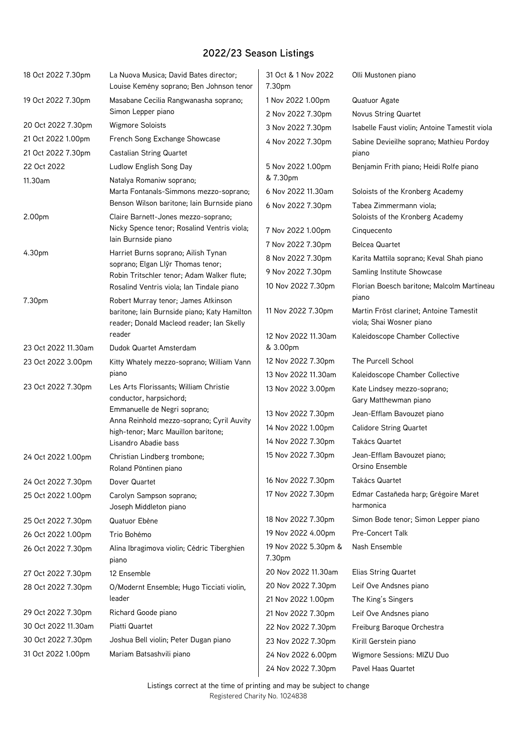| 18 Oct 2022 7.30pm  | La Nuova Musica; David Bates director;<br>Louise Kemény soprano; Ben Johnson tenor                                               | 31 Oct & 1 Nov 2022<br>7.30pm                       | Olli Mustonen piano                                                 |
|---------------------|----------------------------------------------------------------------------------------------------------------------------------|-----------------------------------------------------|---------------------------------------------------------------------|
| 19 Oct 2022 7.30pm  | Masabane Cecilia Rangwanasha soprano;                                                                                            | 1 Nov 2022 1.00pm                                   | Quatuor Agate                                                       |
|                     | Simon Lepper piano                                                                                                               | 2 Nov 2022 7.30pm                                   | <b>Novus String Quartet</b>                                         |
| 20 Oct 2022 7.30pm  | <b>Wigmore Soloists</b>                                                                                                          | 3 Nov 2022 7.30pm                                   | Isabelle Faust violin; Antoine Tamestit viola                       |
| 21 Oct 2022 1.00pm  | French Song Exchange Showcase                                                                                                    | 4 Nov 2022 7.30pm                                   | Sabine Devieilhe soprano; Mathieu Pordoy                            |
| 21 Oct 2022 7.30pm  | <b>Castalian String Quartet</b>                                                                                                  |                                                     | piano                                                               |
| 22 Oct 2022         | Ludlow English Song Day                                                                                                          | 5 Nov 2022 1.00pm                                   | Benjamin Frith piano; Heidi Rolfe piano                             |
| 11.30am             | Natalya Romaniw soprano;<br>Marta Fontanals-Simmons mezzo-soprano;<br>Benson Wilson baritone; Iain Burnside piano                | & 7.30pm<br>6 Nov 2022 11.30am<br>6 Nov 2022 7.30pm | Soloists of the Kronberg Academy<br>Tabea Zimmermann viola;         |
| 2.00pm              | Claire Barnett-Jones mezzo-soprano;                                                                                              |                                                     | Soloists of the Kronberg Academy                                    |
|                     | Nicky Spence tenor; Rosalind Ventris viola;                                                                                      | 7 Nov 2022 1.00pm                                   | Cinquecento                                                         |
|                     | lain Burnside piano                                                                                                              | 7 Nov 2022 7.30pm                                   | <b>Belcea Quartet</b>                                               |
| 4.30pm              | Harriet Burns soprano; Ailish Tynan                                                                                              | 8 Nov 2022 7.30pm                                   | Karita Mattila soprano; Keval Shah piano                            |
|                     | soprano; Elgan Llŷr Thomas tenor;<br>Robin Tritschler tenor; Adam Walker flute;                                                  | 9 Nov 2022 7.30pm                                   | Samling Institute Showcase                                          |
|                     | Rosalind Ventris viola; Ian Tindale piano                                                                                        | 10 Nov 2022 7.30pm                                  | Florian Boesch baritone; Malcolm Martineau<br>piano                 |
| 7.30pm              | Robert Murray tenor; James Atkinson<br>baritone; Iain Burnside piano; Katy Hamilton<br>reader; Donald Macleod reader; Ian Skelly | 11 Nov 2022 7.30pm                                  | Martin Fröst clarinet; Antoine Tamestit<br>viola; Shai Wosner piano |
| 23 Oct 2022 11.30am | reader<br>Dudok Quartet Amsterdam                                                                                                | 12 Nov 2022 11.30am<br>& 3.00pm                     | Kaleidoscope Chamber Collective                                     |
| 23 Oct 2022 3.00pm  | Kitty Whately mezzo-soprano; William Vann                                                                                        | 12 Nov 2022 7.30pm                                  | The Purcell School                                                  |
|                     | piano                                                                                                                            | 13 Nov 2022 11.30am                                 | Kaleidoscope Chamber Collective                                     |
| 23 Oct 2022 7.30pm  | Les Arts Florissants; William Christie<br>conductor, harpsichord;                                                                | 13 Nov 2022 3.00pm                                  | Kate Lindsey mezzo-soprano;<br>Gary Matthewman piano                |
|                     | Emmanuelle de Negri soprano;                                                                                                     | 13 Nov 2022 7.30pm                                  | Jean-Efflam Bavouzet piano                                          |
|                     | Anna Reinhold mezzo-soprano; Cyril Auvity<br>high-tenor; Marc Mauillon baritone;                                                 | 14 Nov 2022 1.00pm                                  | <b>Calidore String Quartet</b>                                      |
|                     | Lisandro Abadie bass                                                                                                             | 14 Nov 2022 7.30pm                                  | Takács Quartet                                                      |
| 24 Oct 2022 1.00pm  | Christian Lindberg trombone;<br>Roland Pöntinen piano                                                                            | 15 Nov 2022 7.30pm                                  | Jean-Efflam Bavouzet piano;<br>Orsino Ensemble                      |
| 24 Oct 2022 7.30pm  | Dover Quartet                                                                                                                    | 16 Nov 2022 7.30pm                                  | Takács Quartet                                                      |
| 25 Oct 2022 1.00pm  | Carolyn Sampson soprano;<br>Joseph Middleton piano                                                                               | 17 Nov 2022 7.30pm                                  | Edmar Castañeda harp; Grégoire Maret<br>harmonica                   |
| 25 Oct 2022 7.30pm  | Quatuor Ebène                                                                                                                    | 18 Nov 2022 7.30pm                                  | Simon Bode tenor; Simon Lepper piano                                |
| 26 Oct 2022 1.00pm  | Trio Bohémo                                                                                                                      | 19 Nov 2022 4.00pm                                  | Pre-Concert Talk                                                    |
| 26 Oct 2022 7.30pm  | Alina Ibragimova violin; Cédric Tiberghien<br>piano                                                                              | 19 Nov 2022 5.30pm &<br>7.30pm                      | Nash Ensemble                                                       |
| 27 Oct 2022 7.30pm  | 12 Ensemble                                                                                                                      | 20 Nov 2022 11.30am                                 | Elias String Quartet                                                |
| 28 Oct 2022 7.30pm  | O/Modernt Ensemble; Hugo Ticciati violin,                                                                                        | 20 Nov 2022 7.30pm                                  | Leif Ove Andsnes piano                                              |
|                     | leader                                                                                                                           | 21 Nov 2022 1.00pm                                  | The King's Singers                                                  |
| 29 Oct 2022 7.30pm  | Richard Goode piano                                                                                                              | 21 Nov 2022 7.30pm                                  | Leif Ove Andsnes piano                                              |
| 30 Oct 2022 11.30am | Piatti Quartet                                                                                                                   | 22 Nov 2022 7.30pm                                  | Freiburg Baroque Orchestra                                          |
| 30 Oct 2022 7.30pm  | Joshua Bell violin; Peter Dugan piano                                                                                            | 23 Nov 2022 7.30pm                                  | Kirill Gerstein piano                                               |
| 31 Oct 2022 1.00pm  | Mariam Batsashvili piano                                                                                                         | 24 Nov 2022 6.00pm<br>24 Nov 2022 7.30pm            | Wigmore Sessions: MIZU Duo<br>Pavel Haas Quartet                    |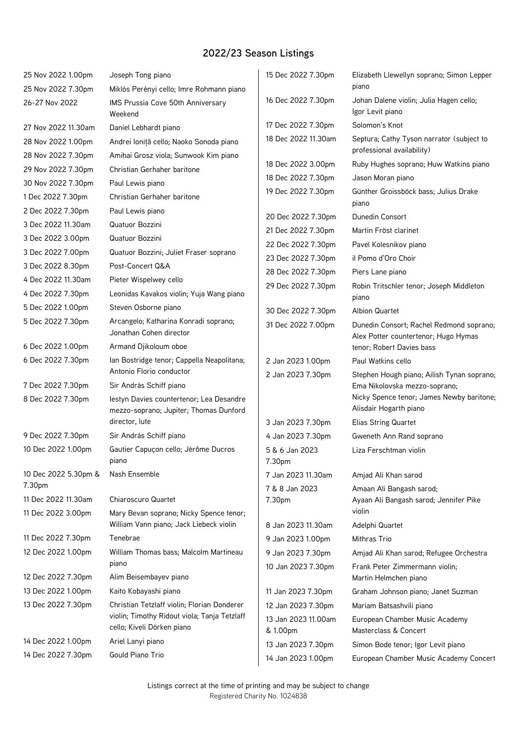| 25 Nov 2022 1.00pm   | Joseph Tong piano                                                                  | 15 Dec 2022 7.30pm              | Elizabeth Llewellyn soprano; Simon Lepper                                        |
|----------------------|------------------------------------------------------------------------------------|---------------------------------|----------------------------------------------------------------------------------|
| 25 Nov 2022 7.30pm   | Miklós Perényi cello; Imre Rohmann piano                                           |                                 | piano                                                                            |
| 26-27 Nov 2022       | IMS Prussia Cove 50th Anniversary<br>Weekend                                       | 16 Dec 2022 7.30pm              | Johan Dalene violin; Julia Hagen cello;<br>Igor Levit piano                      |
| 27 Nov 2022 11.30am  | Daniel Lebhardt piano                                                              | 17 Dec 2022 7.30pm              | Solomon's Knot                                                                   |
| 28 Nov 2022 1.00pm   | Andrei Ioniță cello; Naoko Sonoda piano                                            | 18 Dec 2022 11.30am             | Septura; Cathy Tyson narrator (subject to<br>professional availability)          |
| 28 Nov 2022 7.30pm   | Amihai Grosz viola; Sunwook Kim piano                                              | 18 Dec 2022 3.00pm              | Ruby Hughes soprano; Huw Watkins piano                                           |
| 29 Nov 2022 7.30pm   | Christian Gerhaher baritone                                                        | 18 Dec 2022 7.30pm              | Jason Moran piano                                                                |
| 30 Nov 2022 7.30pm   | Paul Lewis piano                                                                   | 19 Dec 2022 7.30pm              | Günther Groissböck bass; Julius Drake                                            |
| 1 Dec 2022 7.30pm    | Christian Gerhaher baritone                                                        |                                 | piano                                                                            |
| 2 Dec 2022 7.30pm    | Paul Lewis piano                                                                   | 20 Dec 2022 7.30pm              | Dunedin Consort                                                                  |
| 3 Dec 2022 11.30am   | Quatuor Bozzini                                                                    | 21 Dec 2022 7.30pm              | Martin Fröst clarinet                                                            |
| 3 Dec 2022 3.00pm    | Quatuor Bozzini                                                                    | 22 Dec 2022 7.30pm              | Pavel Kolesnikov piano                                                           |
| 3 Dec 2022 7.00pm    | Quatuor Bozzini; Juliet Fraser soprano                                             | 23 Dec 2022 7.30pm              | il Pomo d'Oro Choir                                                              |
| 3 Dec 2022 8.30pm    | Post-Concert Q&A                                                                   | 28 Dec 2022 7.30pm              | Piers Lane piano                                                                 |
| 4 Dec 2022 11.30am   | Pieter Wispelwey cello                                                             | 29 Dec 2022 7.30pm              | Robin Tritschler tenor; Joseph Middleton                                         |
| 4 Dec 2022 7.30pm    | Leonidas Kavakos violin; Yuja Wang piano                                           |                                 | piano                                                                            |
| 5 Dec 2022 1.00pm    | Steven Osborne piano                                                               | 30 Dec 2022 7.30pm              | <b>Albion Quartet</b>                                                            |
| 5 Dec 2022 7.30pm    | Arcangelo; Katharina Konradi soprano;<br>Jonathan Cohen director                   | 31 Dec 2022 7.00pm              | Dunedin Consort; Rachel Redmond soprano;<br>Alex Potter countertenor; Hugo Hymas |
| 6 Dec 2022 1.00pm    | Armand Djikoloum oboe                                                              |                                 | tenor; Robert Davies bass                                                        |
| 6 Dec 2022 7.30pm    | Ian Bostridge tenor; Cappella Neapolitana;                                         | 2 Jan 2023 1.00pm               | Paul Watkins cello                                                               |
|                      | Antonio Florio conductor                                                           | 2 Jan 2023 7.30pm               | Stephen Hough piano; Ailish Tynan soprano;                                       |
| 7 Dec 2022 7.30pm    | Sir András Schiff piano                                                            |                                 | Ema Nikolovska mezzo-soprano;                                                    |
| 8 Dec 2022 7.30pm    | lestyn Davies countertenor; Lea Desandre                                           |                                 | Nicky Spence tenor; James Newby baritone;<br>Alisdair Hogarth piano              |
|                      | mezzo-soprano; Jupiter; Thomas Dunford<br>director, lute                           | 3 Jan 2023 7.30pm               | Elias String Quartet                                                             |
| 9 Dec 2022 7.30pm    | Sir András Schiff piano                                                            | 4 Jan 2023 7.30pm               | Gweneth Ann Rand soprano                                                         |
| 10 Dec 2022 1.00pm   | Gautier Capuçon cello; Jérôme Ducros                                               | 5 & 6 Jan 2023                  | Liza Ferschtman violin                                                           |
|                      | piano                                                                              | 7.30pm                          |                                                                                  |
| 10 Dec 2022 5.30pm & | Nash Ensemble                                                                      | 7 Jan 2023 11.30am              | Amjad Ali Khan sarod                                                             |
| 7.30pm               |                                                                                    | 7 & 8 Jan 2023                  | Amaan Ali Bangash sarod;                                                         |
| 11 Dec 2022 11.30am  | Chiaroscuro Quartet                                                                | 7.30pm                          | Ayaan Ali Bangash sarod; Jennifer Pike<br>violin                                 |
| 11 Dec 2022 3.00pm   | Mary Bevan soprano; Nicky Spence tenor;<br>William Vann piano; Jack Liebeck violin | 8 Jan 2023 11.30am              | Adelphi Quartet                                                                  |
| 11 Dec 2022 7.30pm   | Tenebrae                                                                           | 9 Jan 2023 1.00pm               | Mithras Trio                                                                     |
| 12 Dec 2022 1.00pm   | William Thomas bass; Malcolm Martineau                                             | 9 Jan 2023 7.30pm               | Amjad Ali Khan sarod; Refugee Orchestra                                          |
|                      | piano                                                                              | 10 Jan 2023 7.30pm              | Frank Peter Zimmermann violin;                                                   |
| 12 Dec 2022 7.30pm   | Alim Beisembayev piano                                                             |                                 | Martin Helmchen piano                                                            |
| 13 Dec 2022 1.00pm   | Kaito Kobayashi piano                                                              | 11 Jan 2023 7.30pm              | Graham Johnson piano; Janet Suzman                                               |
| 13 Dec 2022 7.30pm   | Christian Tetzlaff violin; Florian Donderer                                        | 12 Jan 2023 7.30pm              | Mariam Batsashvili piano                                                         |
|                      | violin; Timothy Ridout viola; Tanja Tetzlaff<br>cello; Kiveli Dörken piano         | 13 Jan 2023 11.00am<br>& 1.00pm | European Chamber Music Academy<br>Masterclass & Concert                          |
| 14 Dec 2022 1.00pm   | Ariel Lanyi piano                                                                  | 13 Jan 2023 7.30pm              | Simon Bode tenor; Igor Levit piano                                               |
| 14 Dec 2022 7.30pm   | Gould Piano Trio                                                                   | 14 Jan 2023 1.00pm              | European Chamber Music Academy Concert                                           |
|                      |                                                                                    |                                 |                                                                                  |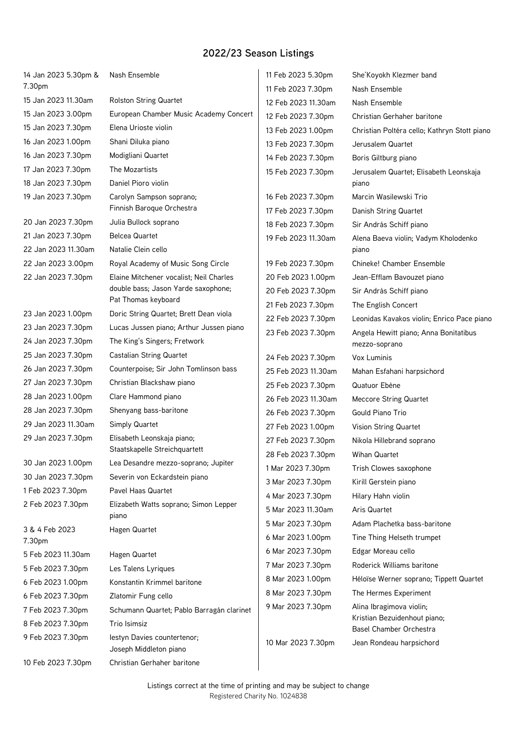| 14 Jan 2023 5.30pm &     | Nash Ensemble                                         | 11 Feb 2023 5.30pm  | She'Koyokh Klezmer band                      |
|--------------------------|-------------------------------------------------------|---------------------|----------------------------------------------|
| 7.30pm                   |                                                       | 11 Feb 2023 7.30pm  | Nash Ensemble                                |
| 15 Jan 2023 11.30am      | <b>Rolston String Quartet</b>                         | 12 Feb 2023 11.30am | Nash Ensemble                                |
| 15 Jan 2023 3.00pm       | European Chamber Music Academy Concert                | 12 Feb 2023 7.30pm  | Christian Gerhaher baritone                  |
| 15 Jan 2023 7.30pm       | Elena Urioste violin                                  | 13 Feb 2023 1.00pm  | Christian Poltéra cello; Kathryn Stott piano |
| 16 Jan 2023 1.00pm       | Shani Diluka piano                                    | 13 Feb 2023 7.30pm  | Jerusalem Quartet                            |
| 16 Jan 2023 7.30pm       | Modigliani Quartet                                    | 14 Feb 2023 7.30pm  | Boris Giltburg piano                         |
| 17 Jan 2023 7.30pm       | The Mozartists                                        | 15 Feb 2023 7.30pm  | Jerusalem Quartet; Elisabeth Leonskaja       |
| 18 Jan 2023 7.30pm       | Daniel Pioro violin                                   |                     | piano                                        |
| 19 Jan 2023 7.30pm       | Carolyn Sampson soprano;                              | 16 Feb 2023 7.30pm  | Marcin Wasilewski Trio                       |
|                          | Finnish Baroque Orchestra                             | 17 Feb 2023 7.30pm  | Danish String Quartet                        |
| 20 Jan 2023 7.30pm       | Julia Bullock soprano                                 | 18 Feb 2023 7.30pm  | Sir András Schiff piano                      |
| 21 Jan 2023 7.30pm       | <b>Belcea Quartet</b>                                 | 19 Feb 2023 11.30am | Alena Baeva violin; Vadym Kholodenko         |
| 22 Jan 2023 11.30am      | Natalie Clein cello                                   |                     | piano                                        |
| 22 Jan 2023 3.00pm       | Royal Academy of Music Song Circle                    | 19 Feb 2023 7.30pm  | Chineke! Chamber Ensemble                    |
| 22 Jan 2023 7.30pm       | Elaine Mitchener vocalist; Neil Charles               | 20 Feb 2023 1.00pm  | Jean-Efflam Bavouzet piano                   |
|                          | double bass; Jason Yarde saxophone;                   | 20 Feb 2023 7.30pm  | Sir András Schiff piano                      |
|                          | Pat Thomas keyboard                                   | 21 Feb 2023 7.30pm  | The English Concert                          |
| 23 Jan 2023 1.00pm       | Doric String Quartet; Brett Dean viola                | 22 Feb 2023 7.30pm  | Leonidas Kavakos violin; Enrico Pace piano   |
| 23 Jan 2023 7.30pm       | Lucas Jussen piano; Arthur Jussen piano               | 23 Feb 2023 7.30pm  | Angela Hewitt piano; Anna Bonitatibus        |
| 24 Jan 2023 7.30pm       | The King's Singers; Fretwork                          |                     | mezzo-soprano                                |
| 25 Jan 2023 7.30pm       | <b>Castalian String Quartet</b>                       | 24 Feb 2023 7.30pm  | Vox Luminis                                  |
| 26 Jan 2023 7.30pm       | Counterpoise; Sir John Tomlinson bass                 | 25 Feb 2023 11.30am | Mahan Esfahani harpsichord                   |
| 27 Jan 2023 7.30pm       | Christian Blackshaw piano                             | 25 Feb 2023 7.30pm  | Quatuor Ebène                                |
| 28 Jan 2023 1.00pm       | Clare Hammond piano                                   | 26 Feb 2023 11.30am | <b>Meccore String Quartet</b>                |
| 28 Jan 2023 7.30pm       | Shenyang bass-baritone                                | 26 Feb 2023 7.30pm  | Gould Piano Trio                             |
| 29 Jan 2023 11.30am      | Simply Quartet                                        | 27 Feb 2023 1.00pm  | Vision String Quartet                        |
| 29 Jan 2023 7.30pm       | Elisabeth Leonskaja piano;                            | 27 Feb 2023 7.30pm  | Nikola Hillebrand soprano                    |
|                          | Staatskapelle Streichquartett                         | 28 Feb 2023 7.30pm  | Wihan Quartet                                |
| 30 Jan 2023 1.00pm       | Lea Desandre mezzo-soprano; Jupiter                   | 1 Mar 2023 7.30pm   | Trish Clowes saxophone                       |
| 30 Jan 2023 7.30pm       | Severin von Eckardstein piano                         | 3 Mar 2023 7.30pm   | Kirill Gerstein piano                        |
| 1 Feb 2023 7.30pm        | Pavel Haas Quartet                                    | 4 Mar 2023 7.30pm   | Hilary Hahn violin                           |
| 2 Feb 2023 7.30pm        | Elizabeth Watts soprano; Simon Lepper                 | 5 Mar 2023 11.30am  | Aris Quartet                                 |
|                          | piano                                                 | 5 Mar 2023 7.30pm   | Adam Plachetka bass-baritone                 |
| 3 & 4 Feb 2023<br>7.30pm | Hagen Quartet                                         | 6 Mar 2023 1.00pm   | Tine Thing Helseth trumpet                   |
| 5 Feb 2023 11.30am       | Hagen Quartet                                         | 6 Mar 2023 7.30pm   | Edgar Moreau cello                           |
| 5 Feb 2023 7.30pm        | Les Talens Lyriques                                   | 7 Mar 2023 7.30pm   | Roderick Williams baritone                   |
| 6 Feb 2023 1.00pm        | Konstantin Krimmel baritone                           | 8 Mar 2023 1.00pm   | Héloïse Werner soprano; Tippett Quartet      |
| 6 Feb 2023 7.30pm        | Zlatomir Fung cello                                   | 8 Mar 2023 7.30pm   | The Hermes Experiment                        |
|                          |                                                       | 9 Mar 2023 7.30pm   | Alina Ibragimova violin;                     |
| 7 Feb 2023 7.30pm        | Schumann Quartet; Pablo Barragán clarinet             |                     | Kristian Bezuidenhout piano;                 |
| 8 Feb 2023 7.30pm        | Trio Isimsiz                                          |                     | Basel Chamber Orchestra                      |
| 9 Feb 2023 7.30pm        | lestyn Davies countertenor;<br>Joseph Middleton piano | 10 Mar 2023 7.30pm  | Jean Rondeau harpsichord                     |
| 10 Feb 2023 7.30pm       | Christian Gerhaher baritone                           |                     |                                              |
|                          |                                                       |                     |                                              |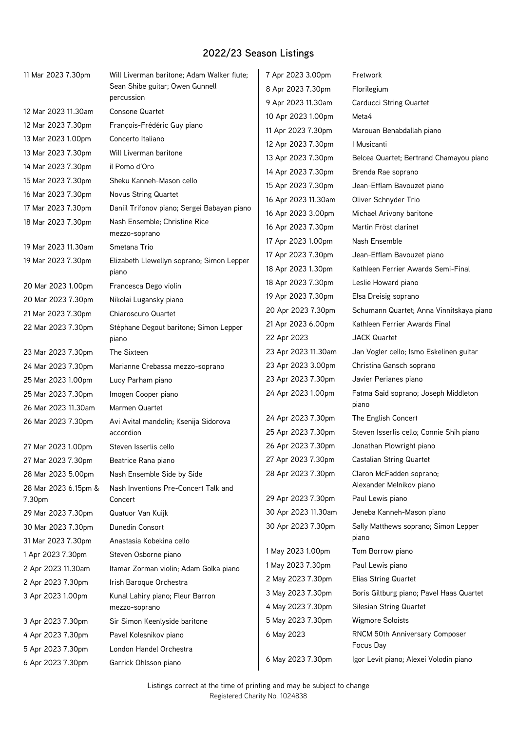| 11 Mar 2023 7.30pm             | Will Liverman baritone; Adam Walker flute;         | 7 Apr 2023 3.00pm   | Fretwork                                             |
|--------------------------------|----------------------------------------------------|---------------------|------------------------------------------------------|
|                                | Sean Shibe guitar; Owen Gunnell                    | 8 Apr 2023 7.30pm   | Florilegium                                          |
|                                | percussion                                         | 9 Apr 2023 11.30am  | Carducci String Quartet                              |
| 12 Mar 2023 11.30am            | <b>Consone Quartet</b>                             | 10 Apr 2023 1.00pm  | Meta4                                                |
| 12 Mar 2023 7.30pm             | François-Frédéric Guy piano                        | 11 Apr 2023 7.30pm  | Marouan Benabdallah piano                            |
| 13 Mar 2023 1.00pm             | Concerto Italiano                                  | 12 Apr 2023 7.30pm  | I Musicanti                                          |
| 13 Mar 2023 7.30pm             | Will Liverman baritone                             | 13 Apr 2023 7.30pm  | Belcea Quartet; Bertrand Chamayou piano              |
| 14 Mar 2023 7.30pm             | il Pomo d'Oro                                      | 14 Apr 2023 7.30pm  | Brenda Rae soprano                                   |
| 15 Mar 2023 7.30pm             | Sheku Kanneh-Mason cello                           | 15 Apr 2023 7.30pm  | Jean-Efflam Bavouzet piano                           |
| 16 Mar 2023 7.30pm             | <b>Novus String Quartet</b>                        | 16 Apr 2023 11.30am | Oliver Schnyder Trio                                 |
| 17 Mar 2023 7.30pm             | Daniil Trifonov piano; Sergei Babayan piano        | 16 Apr 2023 3.00pm  | Michael Arivony baritone                             |
| 18 Mar 2023 7.30pm             | Nash Ensemble; Christine Rice                      | 16 Apr 2023 7.30pm  | Martin Fröst clarinet                                |
| 19 Mar 2023 11.30am            | mezzo-soprano<br>Smetana Trio                      | 17 Apr 2023 1.00pm  | Nash Ensemble                                        |
|                                |                                                    | 17 Apr 2023 7.30pm  | Jean-Efflam Bavouzet piano                           |
| 19 Mar 2023 7.30pm             | Elizabeth Llewellyn soprano; Simon Lepper<br>piano | 18 Apr 2023 1.30pm  | Kathleen Ferrier Awards Semi-Final                   |
| 20 Mar 2023 1.00pm             | Francesca Dego violin                              | 18 Apr 2023 7.30pm  | Leslie Howard piano                                  |
| 20 Mar 2023 7.30pm             | Nikolai Lugansky piano                             | 19 Apr 2023 7.30pm  | Elsa Dreisig soprano                                 |
| 21 Mar 2023 7.30pm             | Chiaroscuro Quartet                                | 20 Apr 2023 7.30pm  | Schumann Quartet; Anna Vinnitskaya piano             |
| 22 Mar 2023 7.30pm             | Stéphane Degout baritone; Simon Lepper             | 21 Apr 2023 6.00pm  | Kathleen Ferrier Awards Final                        |
|                                | piano                                              | 22 Apr 2023         | <b>JACK Quartet</b>                                  |
| 23 Mar 2023 7.30pm             | The Sixteen                                        | 23 Apr 2023 11.30am | Jan Vogler cello; Ismo Eskelinen guitar              |
| 24 Mar 2023 7.30pm             | Marianne Crebassa mezzo-soprano                    | 23 Apr 2023 3.00pm  | Christina Gansch soprano                             |
| 25 Mar 2023 1.00pm             | Lucy Parham piano                                  | 23 Apr 2023 7.30pm  | Javier Perianes piano                                |
| 25 Mar 2023 7.30pm             | Imogen Cooper piano                                | 24 Apr 2023 1.00pm  | Fatma Said soprano; Joseph Middleton                 |
| 26 Mar 2023 11.30am            | Marmen Quartet                                     |                     | piano                                                |
| 26 Mar 2023 7.30pm             | Avi Avital mandolin; Ksenija Sidorova              | 24 Apr 2023 7.30pm  | The English Concert                                  |
|                                | accordion                                          | 25 Apr 2023 7.30pm  | Steven Isserlis cello; Connie Shih piano             |
| 27 Mar 2023 1.00pm             | Steven Isserlis cello                              | 26 Apr 2023 7.30pm  | Jonathan Plowright piano                             |
| 27 Mar 2023 7.30pm             | Beatrice Rana piano                                | 27 Apr 2023 7.30pm  | <b>Castalian String Quartet</b>                      |
| 28 Mar 2023 5.00pm             | Nash Ensemble Side by Side                         | 28 Apr 2023 7.30pm  | Claron McFadden soprano;<br>Alexander Melnikov piano |
| 28 Mar 2023 6.15pm &<br>7.30pm | Nash Inventions Pre-Concert Talk and<br>Concert    | 29 Apr 2023 7.30pm  | Paul Lewis piano                                     |
| 29 Mar 2023 7.30pm             | Quatuor Van Kuijk                                  | 30 Apr 2023 11.30am | Jeneba Kanneh-Mason piano                            |
|                                |                                                    | 30 Apr 2023 7.30pm  | Sally Matthews soprano; Simon Lepper                 |
| 30 Mar 2023 7.30pm             | Dunedin Consort                                    |                     | piano                                                |
| 31 Mar 2023 7.30pm             | Anastasia Kobekina cello                           | 1 May 2023 1.00pm   | Tom Borrow piano                                     |
| 1 Apr 2023 7.30pm              | Steven Osborne piano                               | 1 May 2023 7.30pm   | Paul Lewis piano                                     |
| 2 Apr 2023 11.30am             | Itamar Zorman violin; Adam Golka piano             | 2 May 2023 7.30pm   | <b>Elias String Quartet</b>                          |
| 2 Apr 2023 7.30pm              | Irish Baroque Orchestra                            | 3 May 2023 7.30pm   | Boris Giltburg piano; Pavel Haas Quartet             |
| 3 Apr 2023 1.00pm              | Kunal Lahiry piano; Fleur Barron                   | 4 May 2023 7.30pm   | <b>Silesian String Quartet</b>                       |
| 3 Apr 2023 7.30pm              | mezzo-soprano<br>Sir Simon Keenlyside baritone     | 5 May 2023 7.30pm   | <b>Wigmore Soloists</b>                              |
| 4 Apr 2023 7.30pm              | Pavel Kolesnikov piano                             | 6 May 2023          | RNCM 50th Anniversary Composer                       |
| 5 Apr 2023 7.30pm              | London Handel Orchestra                            |                     | Focus Day                                            |
|                                |                                                    | 6 May 2023 7.30pm   | Igor Levit piano; Alexei Volodin piano               |
| 6 Apr 2023 7.30pm              | Garrick Ohlsson piano                              |                     |                                                      |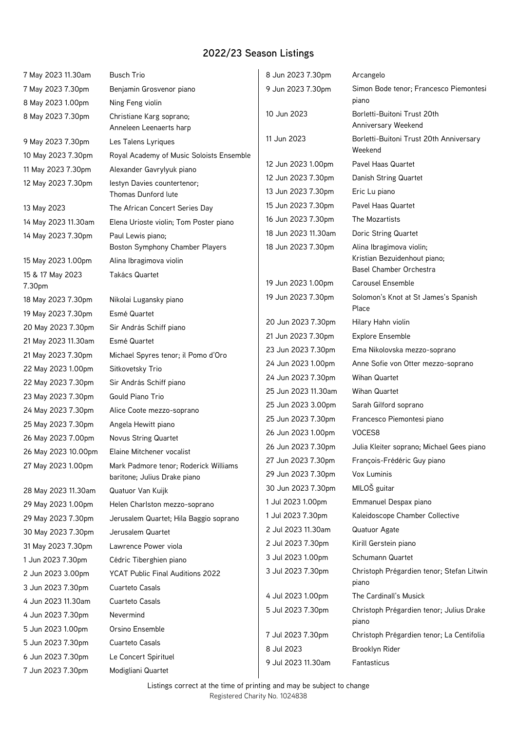| 7 May 2023 11.30am  | <b>Busch Trio</b>                                   | 8 Jun 2023 7.30pm   | Arcangelo                                          |
|---------------------|-----------------------------------------------------|---------------------|----------------------------------------------------|
| 7 May 2023 7.30pm   | Benjamin Grosvenor piano                            | 9 Jun 2023 7.30pm   | Simon Bode tenor; Francesco Piemontesi             |
| 8 May 2023 1.00pm   | Ning Feng violin                                    |                     | piano                                              |
| 8 May 2023 7.30pm   | Christiane Karg soprano;<br>Anneleen Leenaerts harp | 10 Jun 2023         | Borletti-Buitoni Trust 20th<br>Anniversary Weekend |
| 9 May 2023 7.30pm   | Les Talens Lyriques                                 | 11 Jun 2023         | Borletti-Buitoni Trust 20th Anniversary<br>Weekend |
| 10 May 2023 7.30pm  | Royal Academy of Music Soloists Ensemble            | 12 Jun 2023 1.00pm  | Pavel Haas Quartet                                 |
| 11 May 2023 7.30pm  | Alexander Gavrylyuk piano                           | 12 Jun 2023 7.30pm  | Danish String Quartet                              |
| 12 May 2023 7.30pm  | lestyn Davies countertenor;<br>Thomas Dunford lute  | 13 Jun 2023 7.30pm  | Eric Lu piano                                      |
| 13 May 2023         | The African Concert Series Day                      | 15 Jun 2023 7.30pm  | Pavel Haas Quartet                                 |
| 14 May 2023 11.30am | Elena Urioste violin; Tom Poster piano              | 16 Jun 2023 7.30pm  | The Mozartists                                     |
| 14 May 2023 7.30pm  | Paul Lewis piano;                                   | 18 Jun 2023 11.30am | Doric String Quartet                               |
|                     | Boston Symphony Chamber Players                     | 18 Jun 2023 7.30pm  | Alina Ibragimova violin;                           |
| 15 May 2023 1.00pm  | Alina Ibragimova violin                             |                     | Kristian Bezuidenhout piano;                       |
| 15 & 17 May 2023    | <b>Takács Quartet</b>                               |                     | Basel Chamber Orchestra                            |
| 7.30pm              |                                                     | 19 Jun 2023 1.00pm  | <b>Carousel Ensemble</b>                           |
| 18 May 2023 7.30pm  | Nikolai Lugansky piano                              | 19 Jun 2023 7.30pm  | Solomon's Knot at St James's Spanish<br>Place      |
| 19 May 2023 7.30pm  | Esmé Quartet                                        | 20 Jun 2023 7.30pm  | Hilary Hahn violin                                 |
| 20 May 2023 7.30pm  | Sir András Schiff piano                             | 21 Jun 2023 7.30pm  | <b>Explore Ensemble</b>                            |
| 21 May 2023 11.30am | Esmé Quartet                                        | 23 Jun 2023 7.30pm  | Ema Nikolovska mezzo-soprano                       |
| 21 May 2023 7.30pm  | Michael Spyres tenor; il Pomo d'Oro                 | 24 Jun 2023 1.00pm  | Anne Sofie von Otter mezzo-soprano                 |
| 22 May 2023 1.00pm  | Sitkovetsky Trio                                    | 24 Jun 2023 7.30pm  | <b>Wihan Quartet</b>                               |
| 22 May 2023 7.30pm  | Sir András Schiff piano                             | 25 Jun 2023 11.30am | <b>Wihan Quartet</b>                               |
| 23 May 2023 7.30pm  | Gould Piano Trio                                    |                     |                                                    |
| 24 May 2023 7.30pm  | Alice Coote mezzo-soprano                           | 25 Jun 2023 3.00pm  | Sarah Gilford soprano                              |
| 25 May 2023 7.30pm  | Angela Hewitt piano                                 | 25 Jun 2023 7.30pm  | Francesco Piemontesi piano                         |
| 26 May 2023 7.00pm  | <b>Novus String Quartet</b>                         | 26 Jun 2023 1.00pm  | VOCES8                                             |
| 26 May 2023 10.00pm | Elaine Mitchener vocalist                           | 26 Jun 2023 7.30pm  | Julia Kleiter soprano; Michael Gees piano          |
| 27 May 2023 1.00pm  | Mark Padmore tenor; Roderick Williams               | 27 Jun 2023 7.30pm  | François-Frédéric Guy piano                        |
|                     | baritone; Julius Drake piano                        | 29 Jun 2023 7.30pm  | Vox Luminis                                        |
| 28 May 2023 11.30am | Quatuor Van Kuijk                                   | 30 Jun 2023 7.30pm  | MILOŠ guitar                                       |
| 29 May 2023 1.00pm  | Helen Charlston mezzo-soprano                       | 1 Jul 2023 1.00pm   | Emmanuel Despax piano                              |
| 29 May 2023 7.30pm  | Jerusalem Quartet; Hila Baggio soprano              | 1 Jul 2023 7.30pm   | Kaleidoscope Chamber Collective                    |
| 30 May 2023 7.30pm  | Jerusalem Quartet                                   | 2 Jul 2023 11.30am  | Quatuor Agate                                      |
| 31 May 2023 7.30pm  | Lawrence Power viola                                | 2 Jul 2023 7.30pm   | Kirill Gerstein piano                              |
| 1 Jun 2023 7.30pm   | Cédric Tiberghien piano                             | 3 Jul 2023 1.00pm   | Schumann Quartet                                   |
| 2 Jun 2023 3.00pm   | YCAT Public Final Auditions 2022                    | 3 Jul 2023 7.30pm   | Christoph Prégardien tenor; Stefan Litwin<br>piano |
| 3 Jun 2023 7.30pm   | Cuarteto Casals                                     | 4 Jul 2023 1.00pm   | The Cardinall's Musick                             |
| 4 Jun 2023 11.30am  | Cuarteto Casals                                     | 5 Jul 2023 7.30pm   | Christoph Prégardien tenor; Julius Drake           |
| 4 Jun 2023 7.30pm   | Nevermind                                           |                     | piano                                              |
| 5 Jun 2023 1.00pm   | Orsino Ensemble                                     | 7 Jul 2023 7.30pm   | Christoph Prégardien tenor; La Centifolia          |
| 5 Jun 2023 7.30pm   | Cuarteto Casals                                     | 8 Jul 2023          | Brooklyn Rider                                     |
| 6 Jun 2023 7.30pm   | Le Concert Spirituel                                | 9 Jul 2023 11.30am  | Fantasticus                                        |
| 7 Jun 2023 7.30pm   | Modigliani Quartet                                  |                     |                                                    |